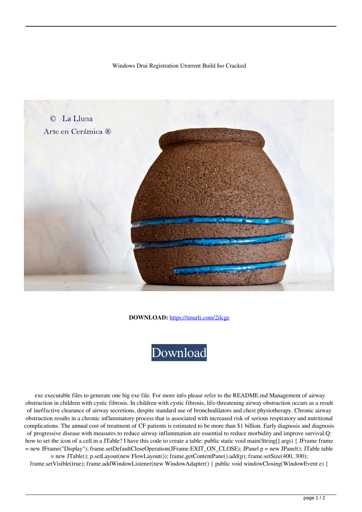## Windows Drui Registration Utorrent Build Iso Cracked



**DOWNLOAD:** <https://tinurli.com/2ilcge>



 exe executable files to generate one big exe file. For more info please refer to the README.md Management of airway obstruction in children with cystic fibrosis. In children with cystic fibrosis, life-threatening airway obstruction occurs as a result of ineffective clearance of airway secretions, despite standard use of bronchodilators and chest physiotherapy. Chronic airway obstruction results in a chronic inflammatory process that is associated with increased risk of serious respiratory and nutritional complications. The annual cost of treatment of CF patients is estimated to be more than \$1 billion. Early diagnosis and diagnosis of progressive disease with measures to reduce airway inflammation are essential to reduce morbidity and improve survival.Q: how to set the icon of a cell in a JTable? I have this code to create a table: public static void main(String[] args) { JFrame frame = new JFrame("Display"); frame.setDefaultCloseOperation(JFrame.EXIT\_ON\_CLOSE); JPanel p = new JPanel(); JTable table = new JTable(); p.setLayout(new FlowLayout()); frame.getContentPane().add(p); frame.setSize(400, 300);

frame.setVisible(true); frame.addWindowListener(new WindowAdapter() { public void windowClosing(WindowEvent e) {